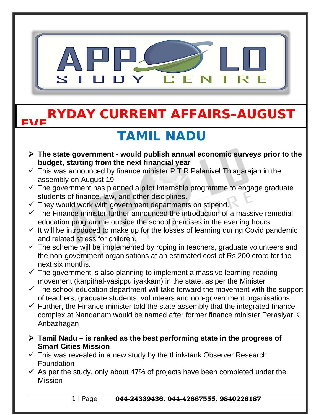

#### **EVE RYDAY CURRENT AFFAIRS–AUGUST**

## **TAMIL NADU**

- **The state government would publish annual economic surveys prior to the budget, starting from the next financial year**
- $\checkmark$  This was announced by finance minister P T R Palanivel Thiagarajan in the assembly on August 19.
- $\checkmark$  The government has planned a pilot internship programme to engage graduate students of finance, law, and other disciplines.
- $\checkmark$  They would work with government departments on stipend.
- $\checkmark$  The Finance minister further announced the introduction of a massive remedial education programme outside the school premises in the evening hours
- $\checkmark$  It will be introduced to make up for the losses of learning during Covid pandemic and related stress for children.
- $\checkmark$  The scheme will be implemented by roping in teachers, graduate volunteers and the non-government organisations at an estimated cost of Rs 200 crore for the next six months.
- $\checkmark$  The government is also planning to implement a massive learning-reading movement (karpithal-vasippu iyakkam) in the state, as per the Minister
- $\checkmark$  The school education department will take forward the movement with the support of teachers, graduate students, volunteers and non-government organisations.
- $\checkmark$  Further, the Finance minister told the state assembly that the integrated finance complex at Nandanam would be named after former finance minister Perasiyar K Anbazhagan
- **Tamil Nadu is ranked as the best performing state in the progress of Smart Cities Mission**
- $\checkmark$  This was revealed in a new study by the think-tank Observer Research Foundation
- $\checkmark$  As per the study, only about 47% of projects have been completed under the Mission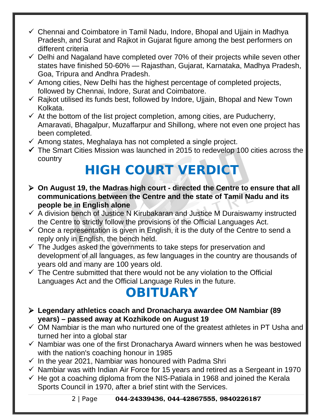- $\checkmark$  Chennai and Coimbatore in Tamil Nadu, Indore, Bhopal and Ujiain in Madhya Pradesh, and Surat and Rajkot in Gujarat figure among the best performers on different criteria
- $\checkmark$  Delhi and Nagaland have completed over 70% of their projects while seven other states have finished 50-60% — Rajasthan, Gujarat, Karnataka, Madhya Pradesh, Goa, Tripura and Andhra Pradesh.
- $\checkmark$  Among cities, New Delhi has the highest percentage of completed projects, followed by Chennai, Indore, Surat and Coimbatore.
- $\checkmark$  Rajkot utilised its funds best, followed by Indore, Ujjain, Bhopal and New Town Kolkata.
- $\checkmark$  At the bottom of the list project completion, among cities, are Puducherry, Amaravati, Bhagalpur, Muzaffarpur and Shillong, where not even one project has been completed.
- $\checkmark$  Among states, Meghalaya has not completed a single project.
- $\checkmark$  The Smart Cities Mission was launched in 2015 to redevelop 100 cities across the country

# **HIGH COURT VERDICT**

- **On August 19, the Madras high court directed the Centre to ensure that all communications between the Centre and the state of Tamil Nadu and its people be in English alone**
- $\checkmark$  A division bench of Justice N Kirubakaran and Justice M Duraiswamy instructed the Centre to strictly follow the provisions of the Official Languages Act.
- $\checkmark$  Once a representation is given in English, it is the duty of the Centre to send a reply only in English, the bench held.
- $\checkmark$  The Judges asked the governments to take steps for preservation and development of all languages, as few languages in the country are thousands of years old and many are 100 years old.
- $\checkmark$  The Centre submitted that there would not be any violation to the Official Languages Act and the Official Language Rules in the future.

## **OBITUARY**

- **Legendary athletics coach and Dronacharya awardee OM Nambiar (89 years) – passed away at Kozhikode on August 19**
- $\checkmark$  OM Nambiar is the man who nurtured one of the greatest athletes in PT Usha and turned her into a global star
- $\checkmark$  Nambiar was one of the first Dronacharya Award winners when he was bestowed with the nation's coaching honour in 1985
- $\checkmark$  In the year 2021, Nambiar was honoured with Padma Shri
- $\checkmark$  Nambiar was with Indian Air Force for 15 years and retired as a Sergeant in 1970
- $\checkmark$  He got a coaching diploma from the NIS-Patiala in 1968 and joined the Kerala Sports Council in 1970, after a brief stint with the Services.